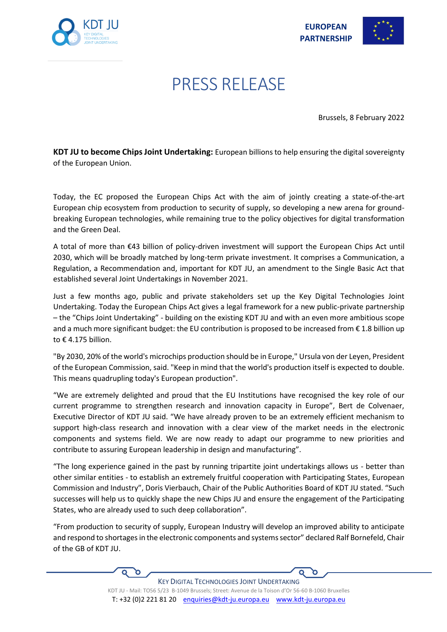



## PRESS RELEASE

Brussels, 8 February 2022

**KDT JU to become Chips Joint Undertaking:** European billions to help ensuring the digital sovereignty of the European Union.

Today, the EC proposed the European Chips Act with the aim of jointly creating a state-of-the-art European chip ecosystem from production to security of supply, so developing a new arena for groundbreaking European technologies, while remaining true to the policy objectives for digital transformation and the Green Deal.

A total of more than €43 billion of policy-driven investment will support the European Chips Act until 2030, which will be broadly matched by long-term private investment. It comprises a Communication, a Regulation, a Recommendation and, important for KDT JU, an amendment to the Single Basic Act that established several Joint Undertakings in November 2021.

Just a few months ago, public and private stakeholders set up the Key Digital Technologies Joint Undertaking. Today the European Chips Act gives a legal framework for a new public-private partnership – the "Chips Joint Undertaking" - building on the existing KDT JU and with an even more ambitious scope and a much more significant budget: the EU contribution is proposed to be increased from  $\epsilon$  1.8 billion up to  $\epsilon$  4.175 billion.

"By 2030, 20% of the world's microchips production should be in Europe," Ursula von der Leyen, President of the European Commission, said. "Keep in mind that the world's production itself is expected to double. This means quadrupling today's European production".

"We are extremely delighted and proud that the EU Institutions have recognised the key role of our current programme to strengthen research and innovation capacity in Europe", Bert de Colvenaer, Executive Director of KDT JU said. "We have already proven to be an extremely efficient mechanism to support high-class research and innovation with a clear view of the market needs in the electronic components and systems field. We are now ready to adapt our programme to new priorities and contribute to assuring European leadership in design and manufacturing".

"The long experience gained in the past by running tripartite joint undertakings allows us - better than other similar entities - to establish an extremely fruitful cooperation with Participating States, European Commission and Industry", Doris Vierbauch, Chair of the Public Authorities Board of KDT JU stated. "Such successes will help us to quickly shape the new Chips JU and ensure the engagement of the Participating States, who are already used to such deep collaboration".

"From production to security of supply, European Industry will develop an improved ability to anticipate and respond to shortages in the electronic components and systems sector" declared Ralf Bornefeld, Chair of the GB of KDT JU.

'n

 $\Omega$ ัด